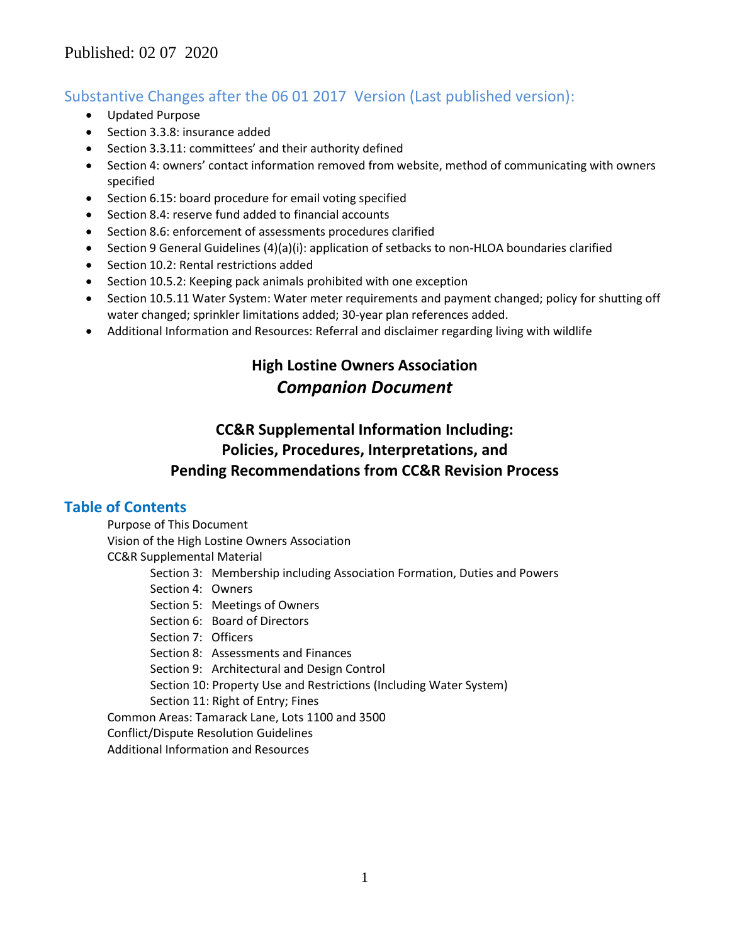## Substantive Changes after the 06 01 2017 Version (Last published version):

- Updated Purpose
- Section 3.3.8: insurance added
- Section 3.3.11: committees' and their authority defined
- Section 4: owners' contact information removed from website, method of communicating with owners specified
- Section 6.15: board procedure for email voting specified
- Section 8.4: reserve fund added to financial accounts
- Section 8.6: enforcement of assessments procedures clarified
- Section 9 General Guidelines (4)(a)(i): application of setbacks to non-HLOA boundaries clarified
- Section 10.2: Rental restrictions added
- Section 10.5.2: Keeping pack animals prohibited with one exception
- Section 10.5.11 Water System: Water meter requirements and payment changed; policy for shutting off water changed; sprinkler limitations added; 30-year plan references added.
- Additional Information and Resources: Referral and disclaimer regarding living with wildlife

# **High Lostine Owners Association** *Companion Document*

# **CC&R Supplemental Information Including: Policies, Procedures, Interpretations, and Pending Recommendations from CC&R Revision Process**

## **Table of Contents**

Purpose of This Document Vision of the High Lostine Owners Association CC&R Supplemental Material Section 3: Membership including Association Formation, Duties and Powers Section 4: Owners Section 5: Meetings of Owners Section 6: Board of Directors Section 7: Officers Section 8: Assessments and Finances Section 9: Architectural and Design Control Section 10: Property Use and Restrictions (Including Water System) Section 11: Right of Entry; Fines Common Areas: Tamarack Lane, Lots 1100 and 3500 Conflict/Dispute Resolution Guidelines Additional Information and Resources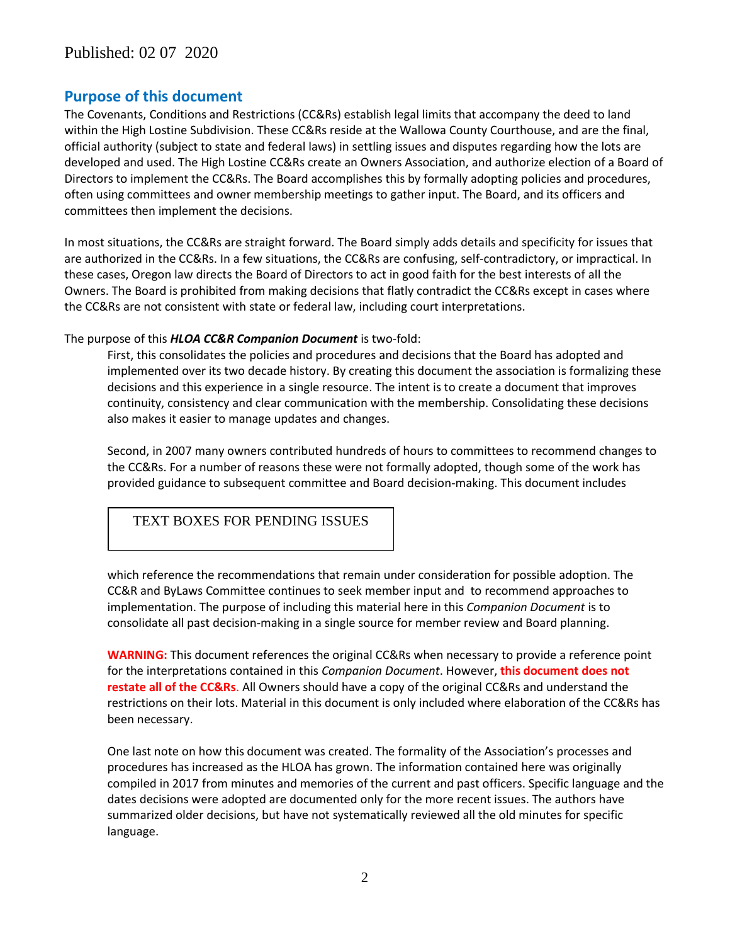## **Purpose of this document**

The Covenants, Conditions and Restrictions (CC&Rs) establish legal limits that accompany the deed to land within the High Lostine Subdivision. These CC&Rs reside at the Wallowa County Courthouse, and are the final, official authority (subject to state and federal laws) in settling issues and disputes regarding how the lots are developed and used. The High Lostine CC&Rs create an Owners Association, and authorize election of a Board of Directors to implement the CC&Rs. The Board accomplishes this by formally adopting policies and procedures, often using committees and owner membership meetings to gather input. The Board, and its officers and committees then implement the decisions.

In most situations, the CC&Rs are straight forward. The Board simply adds details and specificity for issues that are authorized in the CC&Rs. In a few situations, the CC&Rs are confusing, self-contradictory, or impractical. In these cases, Oregon law directs the Board of Directors to act in good faith for the best interests of all the Owners. The Board is prohibited from making decisions that flatly contradict the CC&Rs except in cases where the CC&Rs are not consistent with state or federal law, including court interpretations.

#### The purpose of this *HLOA CC&R Companion Document* is two-fold:

First, this consolidates the policies and procedures and decisions that the Board has adopted and implemented over its two decade history. By creating this document the association is formalizing these decisions and this experience in a single resource. The intent is to create a document that improves continuity, consistency and clear communication with the membership. Consolidating these decisions also makes it easier to manage updates and changes.

Second, in 2007 many owners contributed hundreds of hours to committees to recommend changes to the CC&Rs. For a number of reasons these were not formally adopted, though some of the work has provided guidance to subsequent committee and Board decision-making. This document includes

## TEXT BOXES FOR PENDING ISSUES

which reference the recommendations that remain under consideration for possible adoption. The CC&R and ByLaws Committee continues to seek member input and to recommend approaches to implementation. The purpose of including this material here in this *Companion Document* is to consolidate all past decision-making in a single source for member review and Board planning.

**WARNING:** This document references the original CC&Rs when necessary to provide a reference point for the interpretations contained in this *Companion Document*. However, **this document does not restate all of the CC&Rs**. All Owners should have a copy of the original CC&Rs and understand the restrictions on their lots. Material in this document is only included where elaboration of the CC&Rs has been necessary.

One last note on how this document was created. The formality of the Association's processes and procedures has increased as the HLOA has grown. The information contained here was originally compiled in 2017 from minutes and memories of the current and past officers. Specific language and the dates decisions were adopted are documented only for the more recent issues. The authors have summarized older decisions, but have not systematically reviewed all the old minutes for specific language.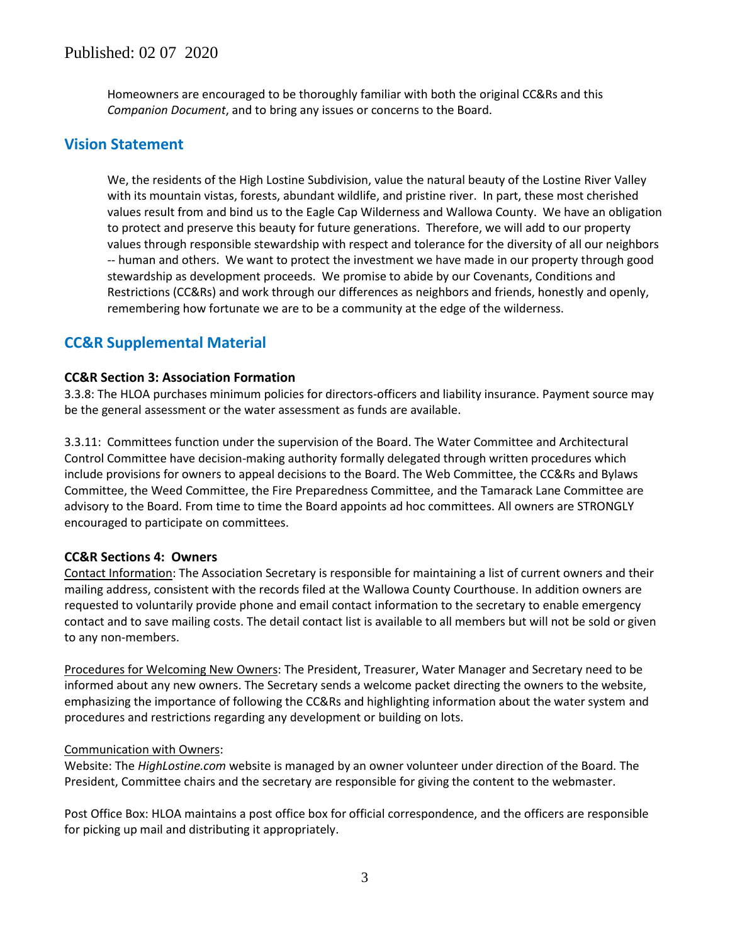Homeowners are encouraged to be thoroughly familiar with both the original CC&Rs and this *Companion Document*, and to bring any issues or concerns to the Board.

## **Vision Statement**

We, the residents of the High Lostine Subdivision, value the natural beauty of the Lostine River Valley with its mountain vistas, forests, abundant wildlife, and pristine river. In part, these most cherished values result from and bind us to the Eagle Cap Wilderness and Wallowa County. We have an obligation to protect and preserve this beauty for future generations. Therefore, we will add to our property values through responsible stewardship with respect and tolerance for the diversity of all our neighbors -- human and others. We want to protect the investment we have made in our property through good stewardship as development proceeds. We promise to abide by our Covenants, Conditions and Restrictions (CC&Rs) and work through our differences as neighbors and friends, honestly and openly, remembering how fortunate we are to be a community at the edge of the wilderness.

## **CC&R Supplemental Material**

### **CC&R Section 3: Association Formation**

3.3.8: The HLOA purchases minimum policies for directors-officers and liability insurance. Payment source may be the general assessment or the water assessment as funds are available.

3.3.11: Committees function under the supervision of the Board. The Water Committee and Architectural Control Committee have decision-making authority formally delegated through written procedures which include provisions for owners to appeal decisions to the Board. The Web Committee, the CC&Rs and Bylaws Committee, the Weed Committee, the Fire Preparedness Committee, and the Tamarack Lane Committee are advisory to the Board. From time to time the Board appoints ad hoc committees. All owners are STRONGLY encouraged to participate on committees.

### **CC&R Sections 4: Owners**

Contact Information: The Association Secretary is responsible for maintaining a list of current owners and their mailing address, consistent with the records filed at the Wallowa County Courthouse. In addition owners are requested to voluntarily provide phone and email contact information to the secretary to enable emergency contact and to save mailing costs. The detail contact list is available to all members but will not be sold or given to any non-members.

Procedures for Welcoming New Owners: The President, Treasurer, Water Manager and Secretary need to be informed about any new owners. The Secretary sends a welcome packet directing the owners to the website, emphasizing the importance of following the CC&Rs and highlighting information about the water system and procedures and restrictions regarding any development or building on lots.

#### Communication with Owners:

Website: The *HighLostine.com* website is managed by an owner volunteer under direction of the Board. The President, Committee chairs and the secretary are responsible for giving the content to the webmaster.

Post Office Box: HLOA maintains a post office box for official correspondence, and the officers are responsible for picking up mail and distributing it appropriately.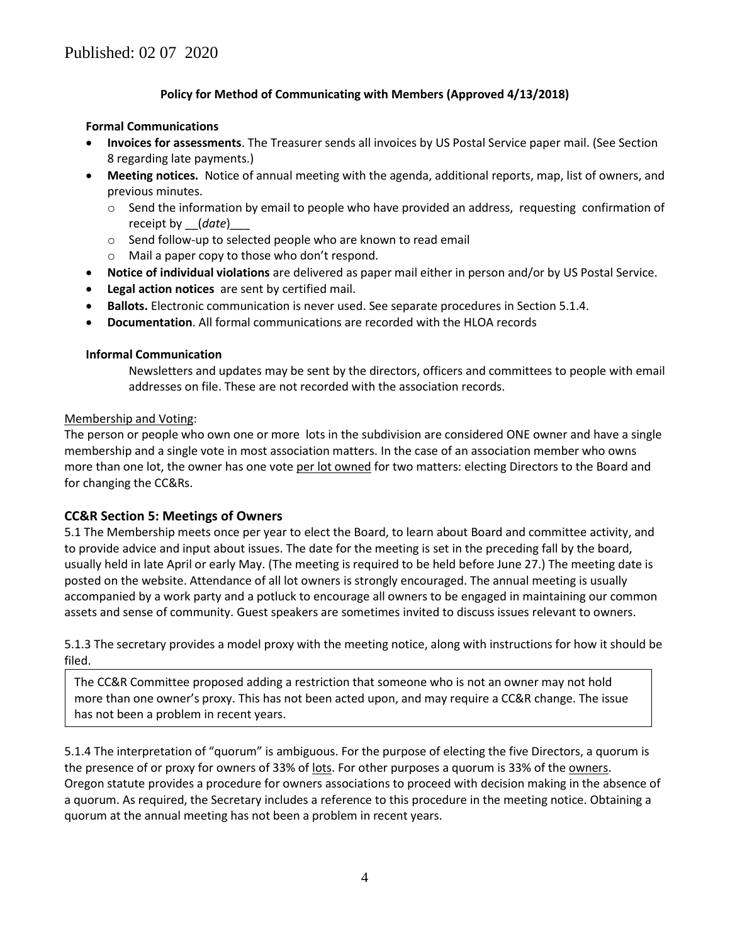### **Policy for Method of Communicating with Members (Approved 4/13/2018)**

#### **Formal Communications**

- **Invoices for assessments**. The Treasurer sends all invoices by US Postal Service paper mail. (See Section 8 regarding late payments.)
- **Meeting notices.** Notice of annual meeting with the agenda, additional reports, map, list of owners, and previous minutes.
	- $\circ$  Send the information by email to people who have provided an address, requesting confirmation of receipt by *(date)*
	- o Send follow-up to selected people who are known to read email
	- o Mail a paper copy to those who don't respond.
- **Notice of individual violations** are delivered as paper mail either in person and/or by US Postal Service.
- **Legal action notices** are sent by certified mail.
- **Ballots.** Electronic communication is never used. See separate procedures in Section 5.1.4.
- **Documentation**. All formal communications are recorded with the HLOA records

#### **Informal Communication**

Newsletters and updates may be sent by the directors, officers and committees to people with email addresses on file. These are not recorded with the association records.

#### Membership and Voting:

The person or people who own one or more lots in the subdivision are considered ONE owner and have a single membership and a single vote in most association matters. In the case of an association member who owns more than one lot, the owner has one vote per lot owned for two matters: electing Directors to the Board and for changing the CC&Rs.

#### **CC&R Section 5: Meetings of Owners**

5.1 The Membership meets once per year to elect the Board, to learn about Board and committee activity, and to provide advice and input about issues. The date for the meeting is set in the preceding fall by the board, usually held in late April or early May. (The meeting is required to be held before June 27.) The meeting date is posted on the website. Attendance of all lot owners is strongly encouraged. The annual meeting is usually accompanied by a work party and a potluck to encourage all owners to be engaged in maintaining our common assets and sense of community. Guest speakers are sometimes invited to discuss issues relevant to owners.

5.1.3 The secretary provides a model proxy with the meeting notice, along with instructions for how it should be filed.

The CC&R Committee proposed adding a restriction that someone who is not an owner may not hold more than one owner's proxy. This has not been acted upon, and may require a CC&R change. The issue has not been a problem in recent years.

5.1.4 The interpretation of "quorum" is ambiguous. For the purpose of electing the five Directors, a quorum is the presence of or proxy for owners of 33% of lots. For other purposes a quorum is 33% of the owners. Oregon statute provides a procedure for owners associations to proceed with decision making in the absence of a quorum. As required, the Secretary includes a reference to this procedure in the meeting notice. Obtaining a quorum at the annual meeting has not been a problem in recent years.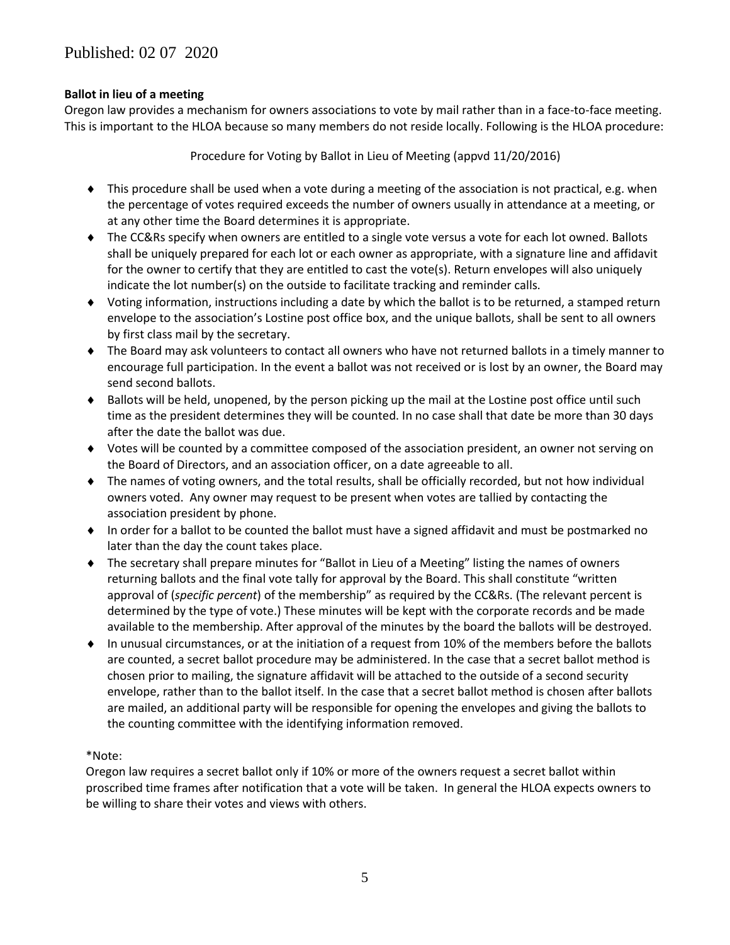### **Ballot in lieu of a meeting**

Oregon law provides a mechanism for owners associations to vote by mail rather than in a face-to-face meeting. This is important to the HLOA because so many members do not reside locally. Following is the HLOA procedure:

Procedure for Voting by Ballot in Lieu of Meeting (appvd 11/20/2016)

- This procedure shall be used when a vote during a meeting of the association is not practical, e.g. when the percentage of votes required exceeds the number of owners usually in attendance at a meeting, or at any other time the Board determines it is appropriate.
- ◆ The CC&Rs specify when owners are entitled to a single vote versus a vote for each lot owned. Ballots shall be uniquely prepared for each lot or each owner as appropriate, with a signature line and affidavit for the owner to certify that they are entitled to cast the vote(s). Return envelopes will also uniquely indicate the lot number(s) on the outside to facilitate tracking and reminder calls.
- Voting information, instructions including a date by which the ballot is to be returned, a stamped return envelope to the association's Lostine post office box, and the unique ballots, shall be sent to all owners by first class mail by the secretary.
- The Board may ask volunteers to contact all owners who have not returned ballots in a timely manner to encourage full participation. In the event a ballot was not received or is lost by an owner, the Board may send second ballots.
- $\bullet$  Ballots will be held, unopened, by the person picking up the mail at the Lostine post office until such time as the president determines they will be counted. In no case shall that date be more than 30 days after the date the ballot was due.
- Votes will be counted by a committee composed of the association president, an owner not serving on the Board of Directors, and an association officer, on a date agreeable to all.
- The names of voting owners, and the total results, shall be officially recorded, but not how individual owners voted. Any owner may request to be present when votes are tallied by contacting the association president by phone.
- In order for a ballot to be counted the ballot must have a signed affidavit and must be postmarked no later than the day the count takes place.
- The secretary shall prepare minutes for "Ballot in Lieu of a Meeting" listing the names of owners returning ballots and the final vote tally for approval by the Board. This shall constitute "written approval of (*specific percent*) of the membership" as required by the CC&Rs. (The relevant percent is determined by the type of vote.) These minutes will be kept with the corporate records and be made available to the membership. After approval of the minutes by the board the ballots will be destroyed.
- In unusual circumstances, or at the initiation of a request from 10% of the members before the ballots are counted, a secret ballot procedure may be administered. In the case that a secret ballot method is chosen prior to mailing, the signature affidavit will be attached to the outside of a second security envelope, rather than to the ballot itself. In the case that a secret ballot method is chosen after ballots are mailed, an additional party will be responsible for opening the envelopes and giving the ballots to the counting committee with the identifying information removed.

### \*Note:

Oregon law requires a secret ballot only if 10% or more of the owners request a secret ballot within proscribed time frames after notification that a vote will be taken. In general the HLOA expects owners to be willing to share their votes and views with others.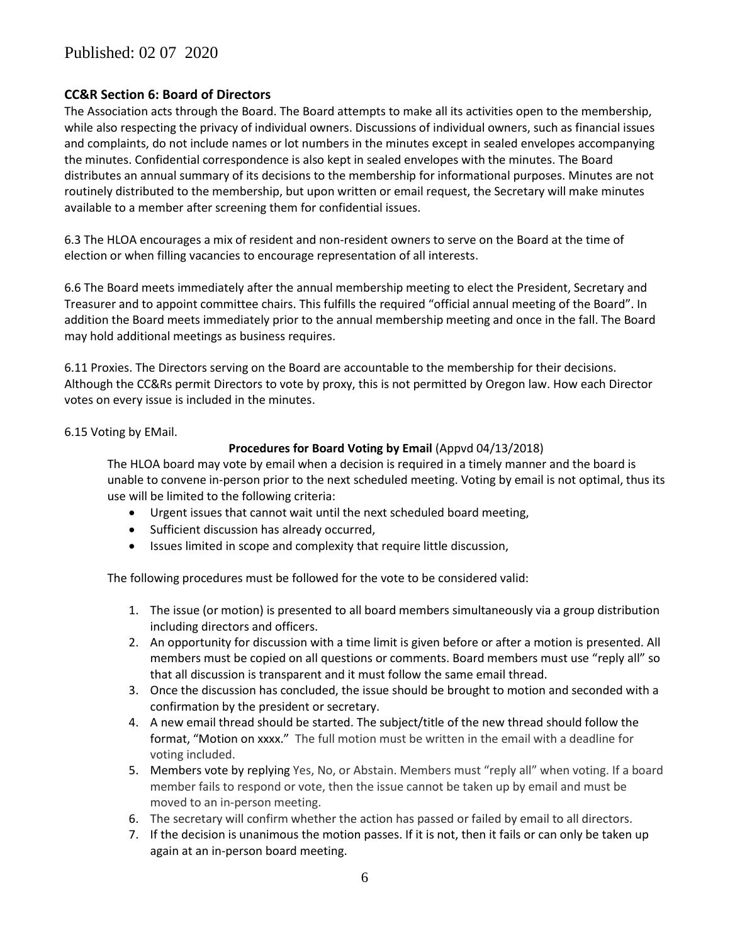## Published: 02 07 2020

### **CC&R Section 6: Board of Directors**

The Association acts through the Board. The Board attempts to make all its activities open to the membership, while also respecting the privacy of individual owners. Discussions of individual owners, such as financial issues and complaints, do not include names or lot numbers in the minutes except in sealed envelopes accompanying the minutes. Confidential correspondence is also kept in sealed envelopes with the minutes. The Board distributes an annual summary of its decisions to the membership for informational purposes. Minutes are not routinely distributed to the membership, but upon written or email request, the Secretary will make minutes available to a member after screening them for confidential issues.

6.3 The HLOA encourages a mix of resident and non-resident owners to serve on the Board at the time of election or when filling vacancies to encourage representation of all interests.

6.6 The Board meets immediately after the annual membership meeting to elect the President, Secretary and Treasurer and to appoint committee chairs. This fulfills the required "official annual meeting of the Board". In addition the Board meets immediately prior to the annual membership meeting and once in the fall. The Board may hold additional meetings as business requires.

6.11 Proxies. The Directors serving on the Board are accountable to the membership for their decisions. Although the CC&Rs permit Directors to vote by proxy, this is not permitted by Oregon law. How each Director votes on every issue is included in the minutes.

6.15 Voting by EMail.

#### **Procedures for Board Voting by Email** (Appvd 04/13/2018)

The HLOA board may vote by email when a decision is required in a timely manner and the board is unable to convene in-person prior to the next scheduled meeting. Voting by email is not optimal, thus its use will be limited to the following criteria:

- Urgent issues that cannot wait until the next scheduled board meeting,
- Sufficient discussion has already occurred,
- Issues limited in scope and complexity that require little discussion,

The following procedures must be followed for the vote to be considered valid:

- 1. The issue (or motion) is presented to all board members simultaneously via a group distribution including directors and officers.
- 2. An opportunity for discussion with a time limit is given before or after a motion is presented. All members must be copied on all questions or comments. Board members must use "reply all" so that all discussion is transparent and it must follow the same email thread.
- 3. Once the discussion has concluded, the issue should be brought to motion and seconded with a confirmation by the president or secretary.
- 4. A new email thread should be started. The subject/title of the new thread should follow the format, "Motion on xxxx." The full motion must be written in the email with a deadline for voting included.
- 5. Members vote by replying Yes, No, or Abstain. Members must "reply all" when voting. If a board member fails to respond or vote, then the issue cannot be taken up by email and must be moved to an in-person meeting.
- 6. The secretary will confirm whether the action has passed or failed by email to all directors.
- 7. If the decision is unanimous the motion passes. If it is not, then it fails or can only be taken up again at an in-person board meeting.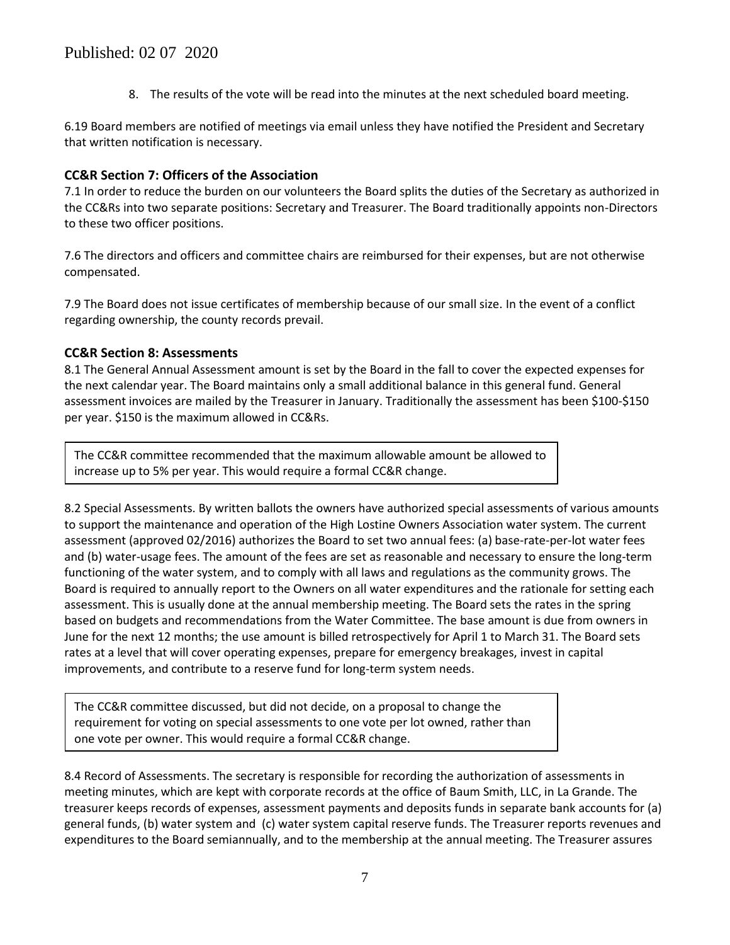8. The results of the vote will be read into the minutes at the next scheduled board meeting.

6.19 Board members are notified of meetings via email unless they have notified the President and Secretary that written notification is necessary.

### **CC&R Section 7: Officers of the Association**

7.1 In order to reduce the burden on our volunteers the Board splits the duties of the Secretary as authorized in the CC&Rs into two separate positions: Secretary and Treasurer. The Board traditionally appoints non-Directors to these two officer positions.

7.6 The directors and officers and committee chairs are reimbursed for their expenses, but are not otherwise compensated.

7.9 The Board does not issue certificates of membership because of our small size. In the event of a conflict regarding ownership, the county records prevail.

## **CC&R Section 8: Assessments**

8.1 The General Annual Assessment amount is set by the Board in the fall to cover the expected expenses for the next calendar year. The Board maintains only a small additional balance in this general fund. General assessment invoices are mailed by the Treasurer in January. Traditionally the assessment has been \$100-\$150 per year. \$150 is the maximum allowed in CC&Rs.

The CC&R committee recommended that the maximum allowable amount be allowed to increase up to 5% per year. This would require a formal CC&R change.

8.2 Special Assessments. By written ballots the owners have authorized special assessments of various amounts to support the maintenance and operation of the High Lostine Owners Association water system. The current assessment (approved 02/2016) authorizes the Board to set two annual fees: (a) base-rate-per-lot water fees and (b) water-usage fees. The amount of the fees are set as reasonable and necessary to ensure the long-term functioning of the water system, and to comply with all laws and regulations as the community grows. The Board is required to annually report to the Owners on all water expenditures and the rationale for setting each assessment. This is usually done at the annual membership meeting. The Board sets the rates in the spring based on budgets and recommendations from the Water Committee. The base amount is due from owners in June for the next 12 months; the use amount is billed retrospectively for April 1 to March 31. The Board sets rates at a level that will cover operating expenses, prepare for emergency breakages, invest in capital improvements, and contribute to a reserve fund for long-term system needs.

The CC&R committee discussed, but did not decide, on a proposal to change the requirement for voting on special assessments to one vote per lot owned, rather than one vote per owner. This would require a formal CC&R change.

8.4 Record of Assessments. The secretary is responsible for recording the authorization of assessments in meeting minutes, which are kept with corporate records at the office of Baum Smith, LLC, in La Grande. The treasurer keeps records of expenses, assessment payments and deposits funds in separate bank accounts for (a) general funds, (b) water system and (c) water system capital reserve funds. The Treasurer reports revenues and expenditures to the Board semiannually, and to the membership at the annual meeting. The Treasurer assures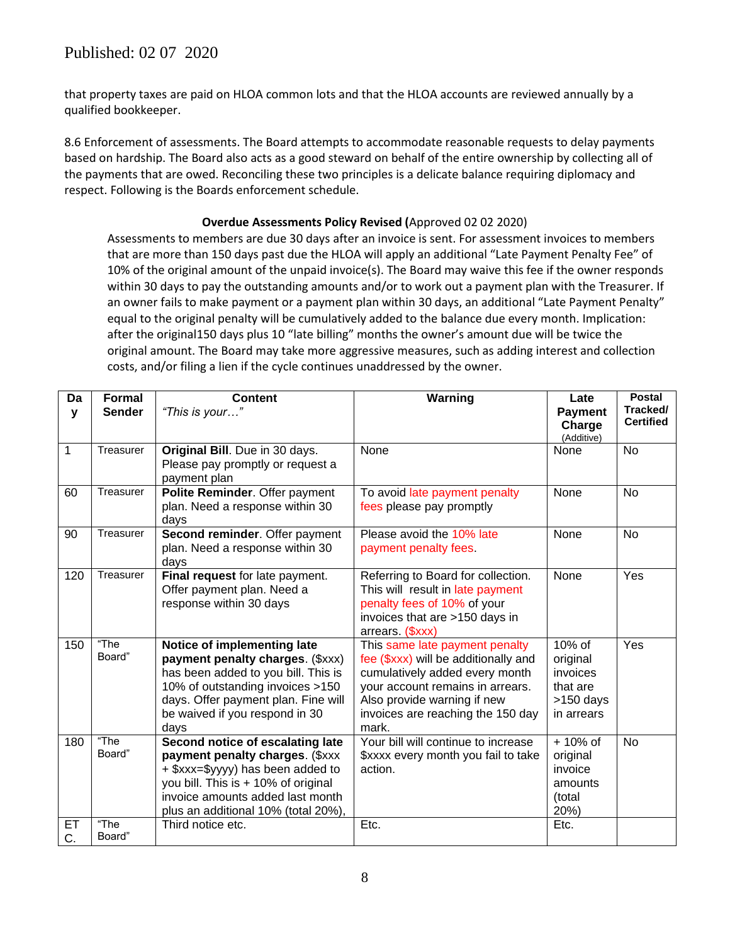## Published: 02 07 2020

that property taxes are paid on HLOA common lots and that the HLOA accounts are reviewed annually by a qualified bookkeeper.

8.6 Enforcement of assessments. The Board attempts to accommodate reasonable requests to delay payments based on hardship. The Board also acts as a good steward on behalf of the entire ownership by collecting all of the payments that are owed. Reconciling these two principles is a delicate balance requiring diplomacy and respect. Following is the Boards enforcement schedule.

#### **Overdue Assessments Policy Revised (**Approved 02 02 2020)

Assessments to members are due 30 days after an invoice is sent. For assessment invoices to members that are more than 150 days past due the HLOA will apply an additional "Late Payment Penalty Fee" of 10% of the original amount of the unpaid invoice(s). The Board may waive this fee if the owner responds within 30 days to pay the outstanding amounts and/or to work out a payment plan with the Treasurer. If an owner fails to make payment or a payment plan within 30 days, an additional "Late Payment Penalty" equal to the original penalty will be cumulatively added to the balance due every month. Implication: after the original150 days plus 10 "late billing" months the owner's amount due will be twice the original amount. The Board may take more aggressive measures, such as adding interest and collection costs, and/or filing a lien if the cycle continues unaddressed by the owner.

| Da       | <b>Formal</b>  | <b>Content</b>                                                                                                                                                                                                              | Warning                                                                                                                                                                                                                   | Late                                                                  | <b>Postal</b>                |
|----------|----------------|-----------------------------------------------------------------------------------------------------------------------------------------------------------------------------------------------------------------------------|---------------------------------------------------------------------------------------------------------------------------------------------------------------------------------------------------------------------------|-----------------------------------------------------------------------|------------------------------|
| y        | <b>Sender</b>  | "This is your"                                                                                                                                                                                                              |                                                                                                                                                                                                                           | <b>Payment</b><br>Charge<br>(Additive)                                | Tracked/<br><b>Certified</b> |
| 1        | Treasurer      | Original Bill. Due in 30 days.<br>Please pay promptly or request a<br>payment plan                                                                                                                                          | None                                                                                                                                                                                                                      | None                                                                  | <b>No</b>                    |
| 60       | Treasurer      | Polite Reminder. Offer payment<br>plan. Need a response within 30<br>days                                                                                                                                                   | To avoid late payment penalty<br>fees please pay promptly                                                                                                                                                                 | None                                                                  | <b>No</b>                    |
| 90       | Treasurer      | Second reminder. Offer payment<br>plan. Need a response within 30<br>days                                                                                                                                                   | Please avoid the 10% late<br>payment penalty fees.                                                                                                                                                                        | None                                                                  | <b>No</b>                    |
| 120      | Treasurer      | Final request for late payment.<br>Offer payment plan. Need a<br>response within 30 days                                                                                                                                    | Referring to Board for collection.<br>This will result in late payment<br>penalty fees of 10% of your<br>invoices that are >150 days in<br>arrears (\$xxx)                                                                | None                                                                  | Yes                          |
| 150      | "The<br>Board" | Notice of implementing late<br>payment penalty charges. (\$xxx)<br>has been added to you bill. This is<br>10% of outstanding invoices >150<br>days. Offer payment plan. Fine will<br>be waived if you respond in 30<br>days | This same late payment penalty<br>fee (\$xxx) will be additionally and<br>cumulatively added every month<br>your account remains in arrears.<br>Also provide warning if new<br>invoices are reaching the 150 day<br>mark. | 10% of<br>original<br>invoices<br>that are<br>>150 days<br>in arrears | Yes                          |
| 180      | "The<br>Board" | Second notice of escalating late<br>payment penalty charges. (\$xxx<br>+ \$xxx=\$yyyy) has been added to<br>you bill. This is + 10% of original<br>invoice amounts added last month<br>plus an additional 10% (total 20%),  | Your bill will continue to increase<br>\$xxxx every month you fail to take<br>action.                                                                                                                                     | + 10% of<br>original<br>invoice<br>amounts<br>(total<br>20%)          | <b>No</b>                    |
| EТ<br>C. | "The<br>Board" | Third notice etc.                                                                                                                                                                                                           | Etc.                                                                                                                                                                                                                      | Etc.                                                                  |                              |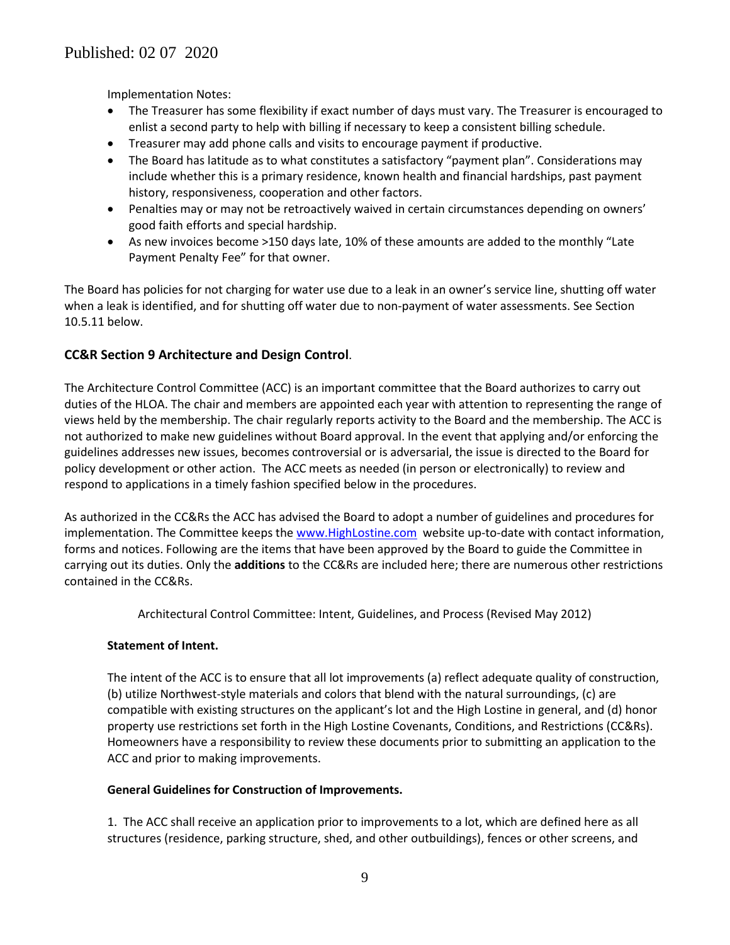Implementation Notes:

- The Treasurer has some flexibility if exact number of days must vary. The Treasurer is encouraged to enlist a second party to help with billing if necessary to keep a consistent billing schedule.
- Treasurer may add phone calls and visits to encourage payment if productive.
- The Board has latitude as to what constitutes a satisfactory "payment plan". Considerations may include whether this is a primary residence, known health and financial hardships, past payment history, responsiveness, cooperation and other factors.
- Penalties may or may not be retroactively waived in certain circumstances depending on owners' good faith efforts and special hardship.
- As new invoices become >150 days late, 10% of these amounts are added to the monthly "Late Payment Penalty Fee" for that owner.

The Board has policies for not charging for water use due to a leak in an owner's service line, shutting off water when a leak is identified, and for shutting off water due to non-payment of water assessments. See Section 10.5.11 below.

## **CC&R Section 9 Architecture and Design Control**.

The Architecture Control Committee (ACC) is an important committee that the Board authorizes to carry out duties of the HLOA. The chair and members are appointed each year with attention to representing the range of views held by the membership. The chair regularly reports activity to the Board and the membership. The ACC is not authorized to make new guidelines without Board approval. In the event that applying and/or enforcing the guidelines addresses new issues, becomes controversial or is adversarial, the issue is directed to the Board for policy development or other action. The ACC meets as needed (in person or electronically) to review and respond to applications in a timely fashion specified below in the procedures.

As authorized in the CC&Rs the ACC has advised the Board to adopt a number of guidelines and procedures for implementation. The Committee keeps th[e www.HighLostine.com](http://www.highlostine.com/) website up-to-date with contact information, forms and notices. Following are the items that have been approved by the Board to guide the Committee in carrying out its duties. Only the **additions** to the CC&Rs are included here; there are numerous other restrictions contained in the CC&Rs.

Architectural Control Committee: Intent, Guidelines, and Process (Revised May 2012)

### **Statement of Intent.**

The intent of the ACC is to ensure that all lot improvements (a) reflect adequate quality of construction, (b) utilize Northwest-style materials and colors that blend with the natural surroundings, (c) are compatible with existing structures on the applicant's lot and the High Lostine in general, and (d) honor property use restrictions set forth in the High Lostine Covenants, Conditions, and Restrictions (CC&Rs). Homeowners have a responsibility to review these documents prior to submitting an application to the ACC and prior to making improvements.

#### **General Guidelines for Construction of Improvements.**

1. The ACC shall receive an application prior to improvements to a lot, which are defined here as all structures (residence, parking structure, shed, and other outbuildings), fences or other screens, and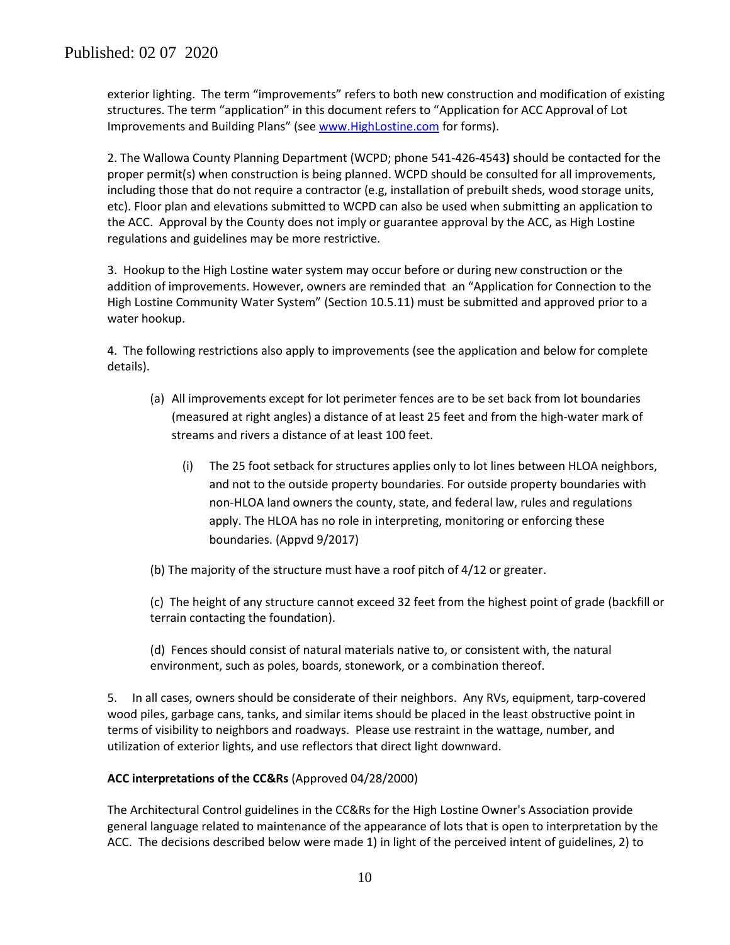exterior lighting. The term "improvements" refers to both new construction and modification of existing structures. The term "application" in this document refers to "Application for ACC Approval of Lot Improvements and Building Plans" (se[e www.HighLostine.com](http://www.highlostine.com/) for forms).

2. The Wallowa County Planning Department (WCPD; phone [541-426-4543](tel:541-426-4543)**)** should be contacted for the proper permit(s) when construction is being planned. WCPD should be consulted for all improvements, including those that do not require a contractor (e.g, installation of prebuilt sheds, wood storage units, etc). Floor plan and elevations submitted to WCPD can also be used when submitting an application to the ACC. Approval by the County does not imply or guarantee approval by the ACC, as High Lostine regulations and guidelines may be more restrictive.

3. Hookup to the High Lostine water system may occur before or during new construction or the addition of improvements. However, owners are reminded that an "Application for Connection to the High Lostine Community Water System" (Section 10.5.11) must be submitted and approved prior to a water hookup.

4. The following restrictions also apply to improvements (see the application and below for complete details).

- (a) All improvements except for lot perimeter fences are to be set back from lot boundaries (measured at right angles) a distance of at least 25 feet and from the high-water mark of streams and rivers a distance of at least 100 feet.
	- (i) The 25 foot setback for structures applies only to lot lines between HLOA neighbors, and not to the outside property boundaries. For outside property boundaries with non-HLOA land owners the county, state, and federal law, rules and regulations apply. The HLOA has no role in interpreting, monitoring or enforcing these boundaries. (Appvd 9/2017)
- (b) The majority of the structure must have a roof pitch of 4/12 or greater.

(c) The height of any structure cannot exceed 32 feet from the highest point of grade (backfill or terrain contacting the foundation).

(d) Fences should consist of natural materials native to, or consistent with, the natural environment, such as poles, boards, stonework, or a combination thereof.

5. In all cases, owners should be considerate of their neighbors. Any RVs, equipment, tarp-covered wood piles, garbage cans, tanks, and similar items should be placed in the least obstructive point in terms of visibility to neighbors and roadways. Please use restraint in the wattage, number, and utilization of exterior lights, and use reflectors that direct light downward.

### **ACC interpretations of the CC&Rs** (Approved 04/28/2000)

The Architectural Control guidelines in the CC&Rs for the High Lostine Owner's Association provide general language related to maintenance of the appearance of lots that is open to interpretation by the ACC. The decisions described below were made 1) in light of the perceived intent of guidelines, 2) to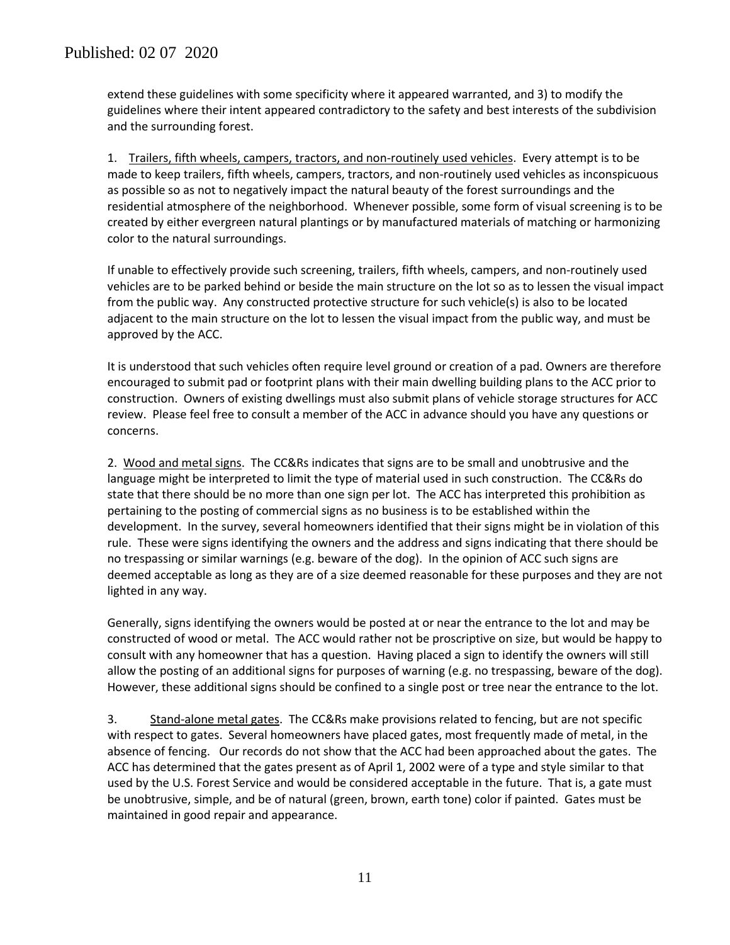extend these guidelines with some specificity where it appeared warranted, and 3) to modify the guidelines where their intent appeared contradictory to the safety and best interests of the subdivision and the surrounding forest.

1. Trailers, fifth wheels, campers, tractors, and non-routinely used vehicles. Every attempt is to be made to keep trailers, fifth wheels, campers, tractors, and non-routinely used vehicles as inconspicuous as possible so as not to negatively impact the natural beauty of the forest surroundings and the residential atmosphere of the neighborhood. Whenever possible, some form of visual screening is to be created by either evergreen natural plantings or by manufactured materials of matching or harmonizing color to the natural surroundings.

If unable to effectively provide such screening, trailers, fifth wheels, campers, and non-routinely used vehicles are to be parked behind or beside the main structure on the lot so as to lessen the visual impact from the public way. Any constructed protective structure for such vehicle(s) is also to be located adjacent to the main structure on the lot to lessen the visual impact from the public way, and must be approved by the ACC.

It is understood that such vehicles often require level ground or creation of a pad. Owners are therefore encouraged to submit pad or footprint plans with their main dwelling building plans to the ACC prior to construction. Owners of existing dwellings must also submit plans of vehicle storage structures for ACC review. Please feel free to consult a member of the ACC in advance should you have any questions or concerns.

2. Wood and metal signs. The CC&Rs indicates that signs are to be small and unobtrusive and the language might be interpreted to limit the type of material used in such construction. The CC&Rs do state that there should be no more than one sign per lot. The ACC has interpreted this prohibition as pertaining to the posting of commercial signs as no business is to be established within the development. In the survey, several homeowners identified that their signs might be in violation of this rule. These were signs identifying the owners and the address and signs indicating that there should be no trespassing or similar warnings (e.g. beware of the dog). In the opinion of ACC such signs are deemed acceptable as long as they are of a size deemed reasonable for these purposes and they are not lighted in any way.

Generally, signs identifying the owners would be posted at or near the entrance to the lot and may be constructed of wood or metal. The ACC would rather not be proscriptive on size, but would be happy to consult with any homeowner that has a question. Having placed a sign to identify the owners will still allow the posting of an additional signs for purposes of warning (e.g. no trespassing, beware of the dog). However, these additional signs should be confined to a single post or tree near the entrance to the lot.

3. Stand-alone metal gates. The CC&Rs make provisions related to fencing, but are not specific with respect to gates. Several homeowners have placed gates, most frequently made of metal, in the absence of fencing. Our records do not show that the ACC had been approached about the gates. The ACC has determined that the gates present as of April 1, 2002 were of a type and style similar to that used by the U.S. Forest Service and would be considered acceptable in the future. That is, a gate must be unobtrusive, simple, and be of natural (green, brown, earth tone) color if painted. Gates must be maintained in good repair and appearance.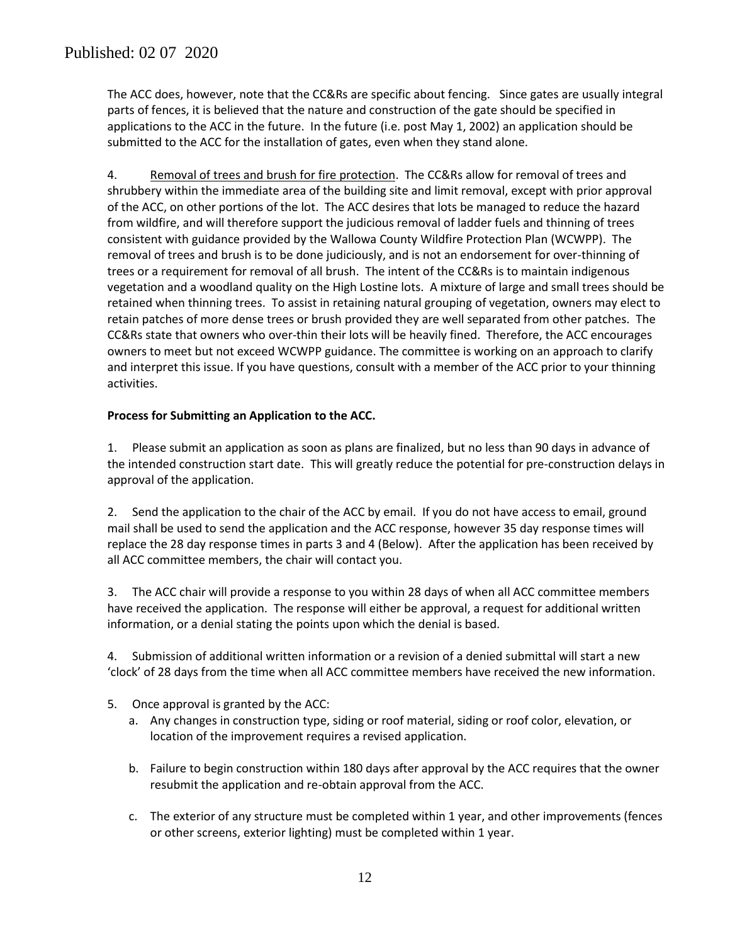The ACC does, however, note that the CC&Rs are specific about fencing. Since gates are usually integral parts of fences, it is believed that the nature and construction of the gate should be specified in applications to the ACC in the future. In the future (i.e. post May 1, 2002) an application should be submitted to the ACC for the installation of gates, even when they stand alone.

4. Removal of trees and brush for fire protection. The CC&Rs allow for removal of trees and shrubbery within the immediate area of the building site and limit removal, except with prior approval of the ACC, on other portions of the lot. The ACC desires that lots be managed to reduce the hazard from wildfire, and will therefore support the judicious removal of ladder fuels and thinning of trees consistent with guidance provided by the Wallowa County Wildfire Protection Plan (WCWPP). The removal of trees and brush is to be done judiciously, and is not an endorsement for over-thinning of trees or a requirement for removal of all brush. The intent of the CC&Rs is to maintain indigenous vegetation and a woodland quality on the High Lostine lots. A mixture of large and small trees should be retained when thinning trees. To assist in retaining natural grouping of vegetation, owners may elect to retain patches of more dense trees or brush provided they are well separated from other patches. The CC&Rs state that owners who over-thin their lots will be heavily fined. Therefore, the ACC encourages owners to meet but not exceed WCWPP guidance. The committee is working on an approach to clarify and interpret this issue. If you have questions, consult with a member of the ACC prior to your thinning activities.

### **Process for Submitting an Application to the ACC.**

1. Please submit an application as soon as plans are finalized, but no less than 90 days in advance of the intended construction start date. This will greatly reduce the potential for pre-construction delays in approval of the application.

2. Send the application to the chair of the ACC by email. If you do not have access to email, ground mail shall be used to send the application and the ACC response, however 35 day response times will replace the 28 day response times in parts 3 and 4 (Below). After the application has been received by all ACC committee members, the chair will contact you.

3. The ACC chair will provide a response to you within 28 days of when all ACC committee members have received the application. The response will either be approval, a request for additional written information, or a denial stating the points upon which the denial is based.

4. Submission of additional written information or a revision of a denied submittal will start a new 'clock' of 28 days from the time when all ACC committee members have received the new information.

- 5. Once approval is granted by the ACC:
	- a. Any changes in construction type, siding or roof material, siding or roof color, elevation, or location of the improvement requires a revised application.
	- b. Failure to begin construction within 180 days after approval by the ACC requires that the owner resubmit the application and re-obtain approval from the ACC.
	- c. The exterior of any structure must be completed within 1 year, and other improvements (fences or other screens, exterior lighting) must be completed within 1 year.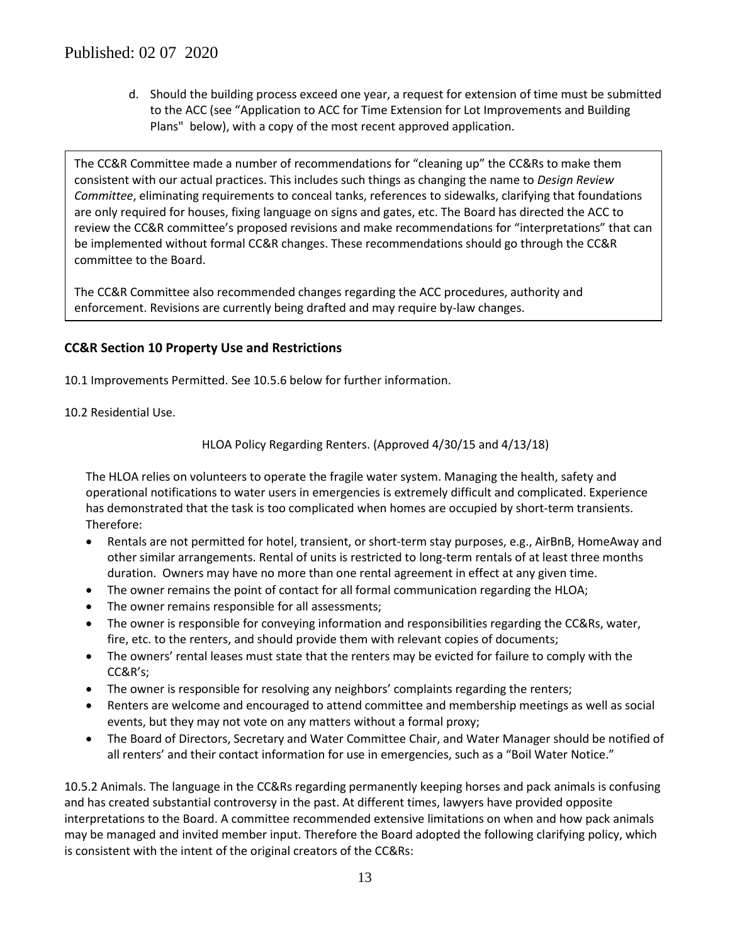d. Should the building process exceed one year, a request for extension of time must be submitted to the ACC (see "Application to ACC for Time Extension for Lot Improvements and Building Plans" below), with a copy of the most recent approved application.

The CC&R Committee made a number of recommendations for "cleaning up" the CC&Rs to make them consistent with our actual practices. This includes such things as changing the name to *Design Review Committee*, eliminating requirements to conceal tanks, references to sidewalks, clarifying that foundations are only required for houses, fixing language on signs and gates, etc. The Board has directed the ACC to review the CC&R committee's proposed revisions and make recommendations for "interpretations" that can be implemented without formal CC&R changes. These recommendations should go through the CC&R committee to the Board.

The CC&R Committee also recommended changes regarding the ACC procedures, authority and enforcement. Revisions are currently being drafted and may require by-law changes.

## **CC&R Section 10 Property Use and Restrictions**

- 10.1 Improvements Permitted. See 10.5.6 below for further information.
- 10.2 Residential Use.

HLOA Policy Regarding Renters. (Approved 4/30/15 and 4/13/18)

The HLOA relies on volunteers to operate the fragile water system. Managing the health, safety and operational notifications to water users in emergencies is extremely difficult and complicated. Experience has demonstrated that the task is too complicated when homes are occupied by short-term transients. Therefore:

- Rentals are not permitted for hotel, transient, or short-term stay purposes, e.g., AirBnB, HomeAway and other similar arrangements. Rental of units is restricted to long-term rentals of at least three months duration. Owners may have no more than one rental agreement in effect at any given time.
- The owner remains the point of contact for all formal communication regarding the HLOA;
- The owner remains responsible for all assessments;
- The owner is responsible for conveying information and responsibilities regarding the CC&Rs, water, fire, etc. to the renters, and should provide them with relevant copies of documents;
- The owners' rental leases must state that the renters may be evicted for failure to comply with the CC&R's;
- The owner is responsible for resolving any neighbors' complaints regarding the renters;
- Renters are welcome and encouraged to attend committee and membership meetings as well as social events, but they may not vote on any matters without a formal proxy;
- The Board of Directors, Secretary and Water Committee Chair, and Water Manager should be notified of all renters' and their contact information for use in emergencies, such as a "Boil Water Notice."

10.5.2 Animals. The language in the CC&Rs regarding permanently keeping horses and pack animals is confusing and has created substantial controversy in the past. At different times, lawyers have provided opposite interpretations to the Board. A committee recommended extensive limitations on when and how pack animals may be managed and invited member input. Therefore the Board adopted the following clarifying policy, which is consistent with the intent of the original creators of the CC&Rs: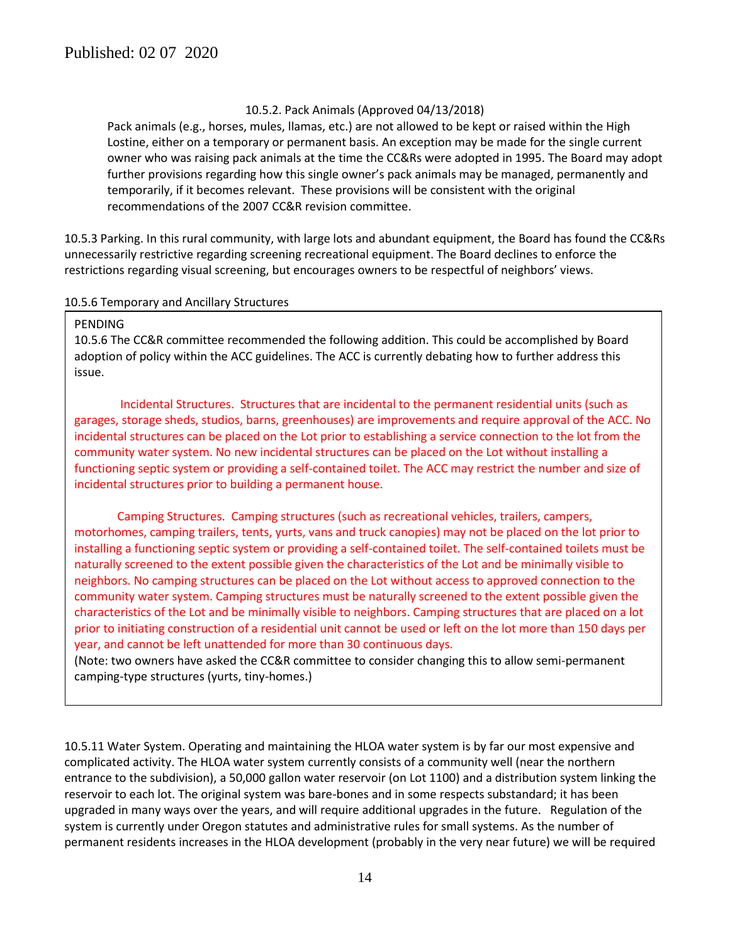#### 10.5.2. Pack Animals (Approved 04/13/2018)

Pack animals (e.g., horses, mules, llamas, etc.) are not allowed to be kept or raised within the High Lostine, either on a temporary or permanent basis. An exception may be made for the single current owner who was raising pack animals at the time the CC&Rs were adopted in 1995. The Board may adopt further provisions regarding how this single owner's pack animals may be managed, permanently and temporarily, if it becomes relevant. These provisions will be consistent with the original recommendations of the 2007 CC&R revision committee.

10.5.3 Parking. In this rural community, with large lots and abundant equipment, the Board has found the CC&Rs unnecessarily restrictive regarding screening recreational equipment. The Board declines to enforce the restrictions regarding visual screening, but encourages owners to be respectful of neighbors' views.

#### 10.5.6 Temporary and Ancillary Structures

#### **PENDING**

10.5.6 The CC&R committee recommended the following addition. This could be accomplished by Board adoption of policy within the ACC guidelines. The ACC is currently debating how to further address this issue.

Incidental Structures. Structures that are incidental to the permanent residential units (such as garages, storage sheds, studios, barns, greenhouses) are improvements and require approval of the ACC. No incidental structures can be placed on the Lot prior to establishing a service connection to the lot from the community water system. No new incidental structures can be placed on the Lot without installing a functioning septic system or providing a self-contained toilet. The ACC may restrict the number and size of incidental structures prior to building a permanent house.

Camping Structures. Camping structures (such as recreational vehicles, trailers, campers, motorhomes, camping trailers, tents, yurts, vans and truck canopies) may not be placed on the lot prior to installing a functioning septic system or providing a self-contained toilet. The self-contained toilets must be naturally screened to the extent possible given the characteristics of the Lot and be minimally visible to neighbors. No camping structures can be placed on the Lot without access to approved connection to the community water system. Camping structures must be naturally screened to the extent possible given the characteristics of the Lot and be minimally visible to neighbors. Camping structures that are placed on a lot prior to initiating construction of a residential unit cannot be used or left on the lot more than 150 days per year, and cannot be left unattended for more than 30 continuous days.

(Note: two owners have asked the CC&R committee to consider changing this to allow semi-permanent camping-type structures (yurts, tiny-homes.)

10.5.11 Water System. Operating and maintaining the HLOA water system is by far our most expensive and complicated activity. The HLOA water system currently consists of a community well (near the northern entrance to the subdivision), a 50,000 gallon water reservoir (on Lot 1100) and a distribution system linking the reservoir to each lot. The original system was bare-bones and in some respects substandard; it has been upgraded in many ways over the years, and will require additional upgrades in the future. Regulation of the system is currently under Oregon statutes and administrative rules for small systems. As the number of permanent residents increases in the HLOA development (probably in the very near future) we will be required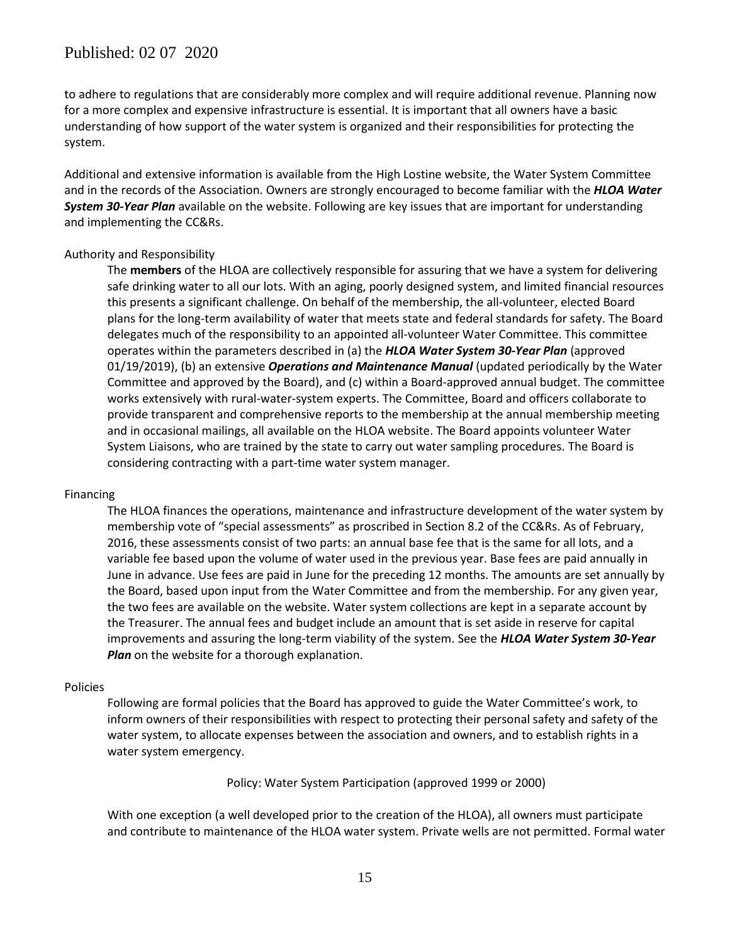## Published: 02 07 2020

to adhere to regulations that are considerably more complex and will require additional revenue. Planning now for a more complex and expensive infrastructure is essential. It is important that all owners have a basic understanding of how support of the water system is organized and their responsibilities for protecting the system.

Additional and extensive information is available from the High Lostine website, the Water System Committee and in the records of the Association. Owners are strongly encouraged to become familiar with the *HLOA Water System 30-Year Plan* available on the website. Following are key issues that are important for understanding and implementing the CC&Rs.

#### Authority and Responsibility

The **members** of the HLOA are collectively responsible for assuring that we have a system for delivering safe drinking water to all our lots. With an aging, poorly designed system, and limited financial resources this presents a significant challenge. On behalf of the membership, the all-volunteer, elected Board plans for the long-term availability of water that meets state and federal standards for safety. The Board delegates much of the responsibility to an appointed all-volunteer Water Committee. This committee operates within the parameters described in (a) the *HLOA Water System 30-Year Plan* (approved 01/19/2019), (b) an extensive *Operations and Maintenance Manual* (updated periodically by the Water Committee and approved by the Board), and (c) within a Board-approved annual budget. The committee works extensively with rural-water-system experts. The Committee, Board and officers collaborate to provide transparent and comprehensive reports to the membership at the annual membership meeting and in occasional mailings, all available on the HLOA website. The Board appoints volunteer Water System Liaisons, who are trained by the state to carry out water sampling procedures. The Board is considering contracting with a part-time water system manager.

#### Financing

The HLOA finances the operations, maintenance and infrastructure development of the water system by membership vote of "special assessments" as proscribed in Section 8.2 of the CC&Rs. As of February, 2016, these assessments consist of two parts: an annual base fee that is the same for all lots, and a variable fee based upon the volume of water used in the previous year. Base fees are paid annually in June in advance. Use fees are paid in June for the preceding 12 months. The amounts are set annually by the Board, based upon input from the Water Committee and from the membership. For any given year, the two fees are available on the website. Water system collections are kept in a separate account by the Treasurer. The annual fees and budget include an amount that is set aside in reserve for capital improvements and assuring the long-term viability of the system. See the *HLOA Water System 30-Year Plan* on the website for a thorough explanation.

#### Policies

Following are formal policies that the Board has approved to guide the Water Committee's work, to inform owners of their responsibilities with respect to protecting their personal safety and safety of the water system, to allocate expenses between the association and owners, and to establish rights in a water system emergency.

Policy: Water System Participation (approved 1999 or 2000)

With one exception (a well developed prior to the creation of the HLOA), all owners must participate and contribute to maintenance of the HLOA water system. Private wells are not permitted. Formal water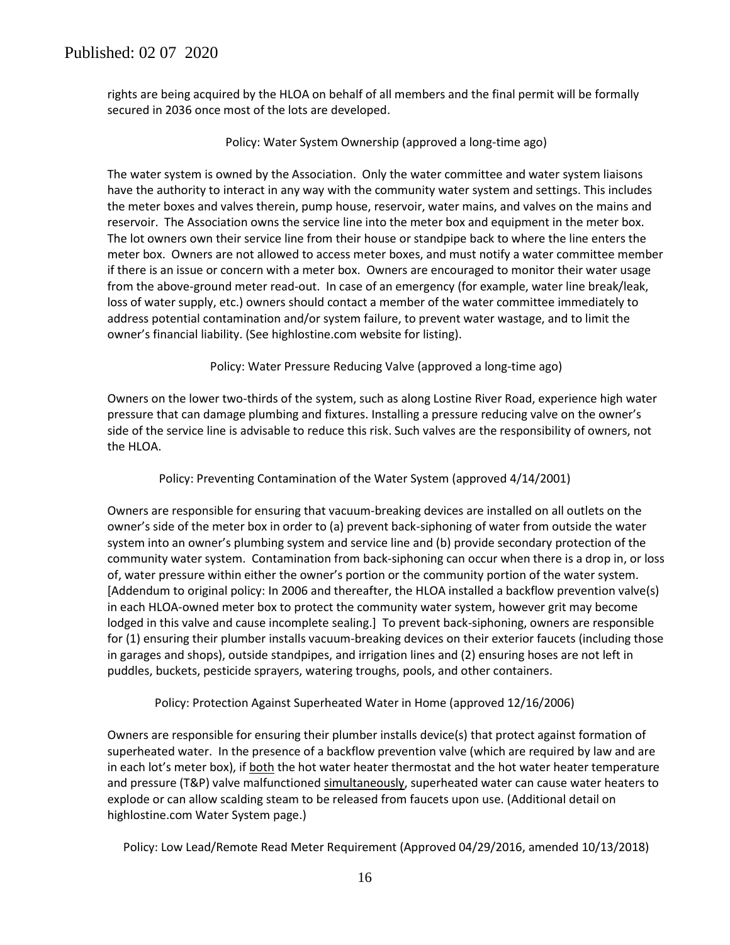rights are being acquired by the HLOA on behalf of all members and the final permit will be formally secured in 2036 once most of the lots are developed.

#### Policy: Water System Ownership (approved a long-time ago)

The water system is owned by the Association. Only the water committee and water system liaisons have the authority to interact in any way with the community water system and settings. This includes the meter boxes and valves therein, pump house, reservoir, water mains, and valves on the mains and reservoir. The Association owns the service line into the meter box and equipment in the meter box. The lot owners own their service line from their house or standpipe back to where the line enters the meter box. Owners are not allowed to access meter boxes, and must notify a water committee member if there is an issue or concern with a meter box. Owners are encouraged to monitor their water usage from the above-ground meter read-out. In case of an emergency (for example, water line break/leak, loss of water supply, etc.) owners should contact a member of the water committee immediately to address potential contamination and/or system failure, to prevent water wastage, and to limit the owner's financial liability. (See highlostine.com website for listing).

Policy: Water Pressure Reducing Valve (approved a long-time ago)

Owners on the lower two-thirds of the system, such as along Lostine River Road, experience high water pressure that can damage plumbing and fixtures. Installing a pressure reducing valve on the owner's side of the service line is advisable to reduce this risk. Such valves are the responsibility of owners, not the HLOA.

Policy: Preventing Contamination of the Water System (approved 4/14/2001)

Owners are responsible for ensuring that vacuum-breaking devices are installed on all outlets on the owner's side of the meter box in order to (a) prevent back-siphoning of water from outside the water system into an owner's plumbing system and service line and (b) provide secondary protection of the community water system. Contamination from back-siphoning can occur when there is a drop in, or loss of, water pressure within either the owner's portion or the community portion of the water system. [Addendum to original policy: In 2006 and thereafter, the HLOA installed a backflow prevention valve(s) in each HLOA-owned meter box to protect the community water system, however grit may become lodged in this valve and cause incomplete sealing.] To prevent back-siphoning, owners are responsible for (1) ensuring their plumber installs vacuum-breaking devices on their exterior faucets (including those in garages and shops), outside standpipes, and irrigation lines and (2) ensuring hoses are not left in puddles, buckets, pesticide sprayers, watering troughs, pools, and other containers.

Policy: Protection Against Superheated Water in Home (approved 12/16/2006)

Owners are responsible for ensuring their plumber installs device(s) that protect against formation of superheated water. In the presence of a backflow prevention valve (which are required by law and are in each lot's meter box), if **both** the hot water heater thermostat and the hot water heater temperature and pressure (T&P) valve malfunctioned simultaneously, superheated water can cause water heaters to explode or can allow scalding steam to be released from faucets upon use. (Additional detail on highlostine.com Water System page.)

Policy: Low Lead/Remote Read Meter Requirement (Approved 04/29/2016, amended 10/13/2018)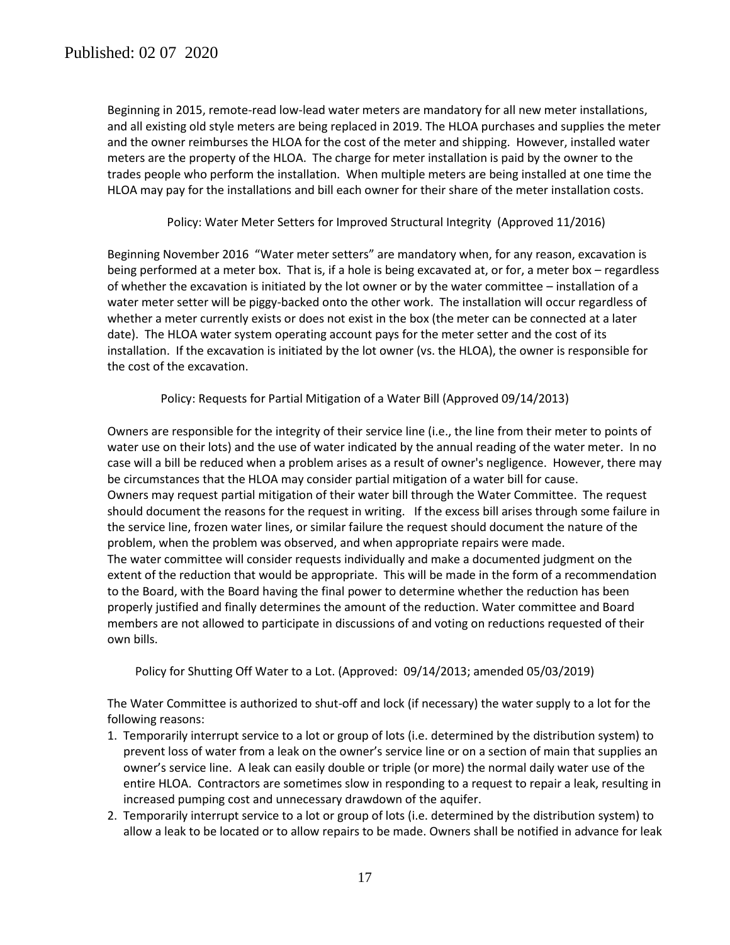Beginning in 2015, remote-read low-lead water meters are mandatory for all new meter installations, and all existing old style meters are being replaced in 2019. The HLOA purchases and supplies the meter and the owner reimburses the HLOA for the cost of the meter and shipping. However, installed water meters are the property of the HLOA. The charge for meter installation is paid by the owner to the trades people who perform the installation. When multiple meters are being installed at one time the HLOA may pay for the installations and bill each owner for their share of the meter installation costs.

### Policy: Water Meter Setters for Improved Structural Integrity (Approved 11/2016)

Beginning November 2016 "Water meter setters" are mandatory when, for any reason, excavation is being performed at a meter box. That is, if a hole is being excavated at, or for, a meter box – regardless of whether the excavation is initiated by the lot owner or by the water committee – installation of a water meter setter will be piggy-backed onto the other work. The installation will occur regardless of whether a meter currently exists or does not exist in the box (the meter can be connected at a later date). The HLOA water system operating account pays for the meter setter and the cost of its installation. If the excavation is initiated by the lot owner (vs. the HLOA), the owner is responsible for the cost of the excavation.

Policy: Requests for Partial Mitigation of a Water Bill (Approved 09/14/2013)

Owners are responsible for the integrity of their service line (i.e., the line from their meter to points of water use on their lots) and the use of water indicated by the annual reading of the water meter. In no case will a bill be reduced when a problem arises as a result of owner's negligence. However, there may be circumstances that the HLOA may consider partial mitigation of a water bill for cause. Owners may request partial mitigation of their water bill through the Water Committee. The request should document the reasons for the request in writing. If the excess bill arises through some failure in the service line, frozen water lines, or similar failure the request should document the nature of the problem, when the problem was observed, and when appropriate repairs were made. The water committee will consider requests individually and make a documented judgment on the extent of the reduction that would be appropriate. This will be made in the form of a recommendation to the Board, with the Board having the final power to determine whether the reduction has been properly justified and finally determines the amount of the reduction. Water committee and Board members are not allowed to participate in discussions of and voting on reductions requested of their own bills.

Policy for Shutting Off Water to a Lot. (Approved: 09/14/2013; amended 05/03/2019)

The Water Committee is authorized to shut-off and lock (if necessary) the water supply to a lot for the following reasons:

- 1. Temporarily interrupt service to a lot or group of lots (i.e. determined by the distribution system) to prevent loss of water from a leak on the owner's service line or on a section of main that supplies an owner's service line. A leak can easily double or triple (or more) the normal daily water use of the entire HLOA. Contractors are sometimes slow in responding to a request to repair a leak, resulting in increased pumping cost and unnecessary drawdown of the aquifer.
- 2. Temporarily interrupt service to a lot or group of lots (i.e. determined by the distribution system) to allow a leak to be located or to allow repairs to be made. Owners shall be notified in advance for leak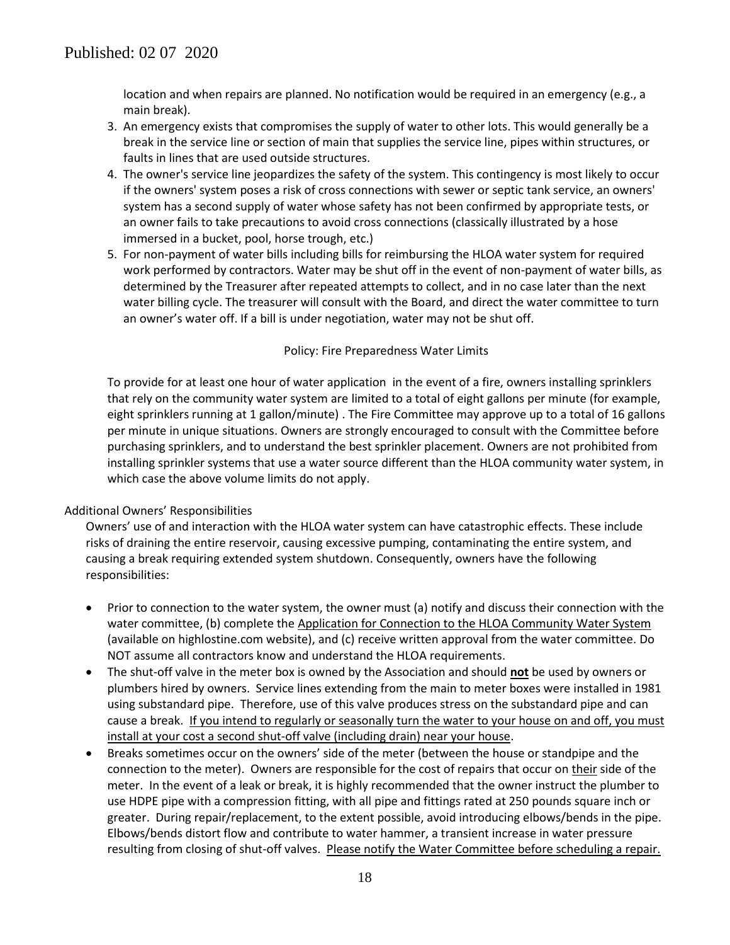location and when repairs are planned. No notification would be required in an emergency (e.g., a main break).

- 3. An emergency exists that compromises the supply of water to other lots. This would generally be a break in the service line or section of main that supplies the service line, pipes within structures, or faults in lines that are used outside structures.
- 4. The owner's service line jeopardizes the safety of the system. This contingency is most likely to occur if the owners' system poses a risk of cross connections with sewer or septic tank service, an owners' system has a second supply of water whose safety has not been confirmed by appropriate tests, or an owner fails to take precautions to avoid cross connections (classically illustrated by a hose immersed in a bucket, pool, horse trough, etc.)
- 5. For non-payment of water bills including bills for reimbursing the HLOA water system for required work performed by contractors. Water may be shut off in the event of non-payment of water bills, as determined by the Treasurer after repeated attempts to collect, and in no case later than the next water billing cycle. The treasurer will consult with the Board, and direct the water committee to turn an owner's water off. If a bill is under negotiation, water may not be shut off.

#### Policy: Fire Preparedness Water Limits

To provide for at least one hour of water application in the event of a fire, owners installing sprinklers that rely on the community water system are limited to a total of eight gallons per minute (for example, eight sprinklers running at 1 gallon/minute) . The Fire Committee may approve up to a total of 16 gallons per minute in unique situations. Owners are strongly encouraged to consult with the Committee before purchasing sprinklers, and to understand the best sprinkler placement. Owners are not prohibited from installing sprinkler systems that use a water source different than the HLOA community water system, in which case the above volume limits do not apply.

#### Additional Owners' Responsibilities

Owners' use of and interaction with the HLOA water system can have catastrophic effects. These include risks of draining the entire reservoir, causing excessive pumping, contaminating the entire system, and causing a break requiring extended system shutdown. Consequently, owners have the following responsibilities:

- Prior to connection to the water system, the owner must (a) notify and discuss their connection with the water committee, (b) complete the Application for Connection to the HLOA Community Water System (available on highlostine.com website), and (c) receive written approval from the water committee. Do NOT assume all contractors know and understand the HLOA requirements.
- The shut-off valve in the meter box is owned by the Association and should **not** be used by owners or plumbers hired by owners. Service lines extending from the main to meter boxes were installed in 1981 using substandard pipe. Therefore, use of this valve produces stress on the substandard pipe and can cause a break. If you intend to regularly or seasonally turn the water to your house on and off, you must install at your cost a second shut-off valve (including drain) near your house.
- Breaks sometimes occur on the owners' side of the meter (between the house or standpipe and the connection to the meter). Owners are responsible for the cost of repairs that occur on their side of the meter. In the event of a leak or break, it is highly recommended that the owner instruct the plumber to use HDPE pipe with a compression fitting, with all pipe and fittings rated at 250 pounds square inch or greater. During repair/replacement, to the extent possible, avoid introducing elbows/bends in the pipe. Elbows/bends distort flow and contribute to water hammer, a transient increase in water pressure resulting from closing of shut-off valves. Please notify the Water Committee before scheduling a repair.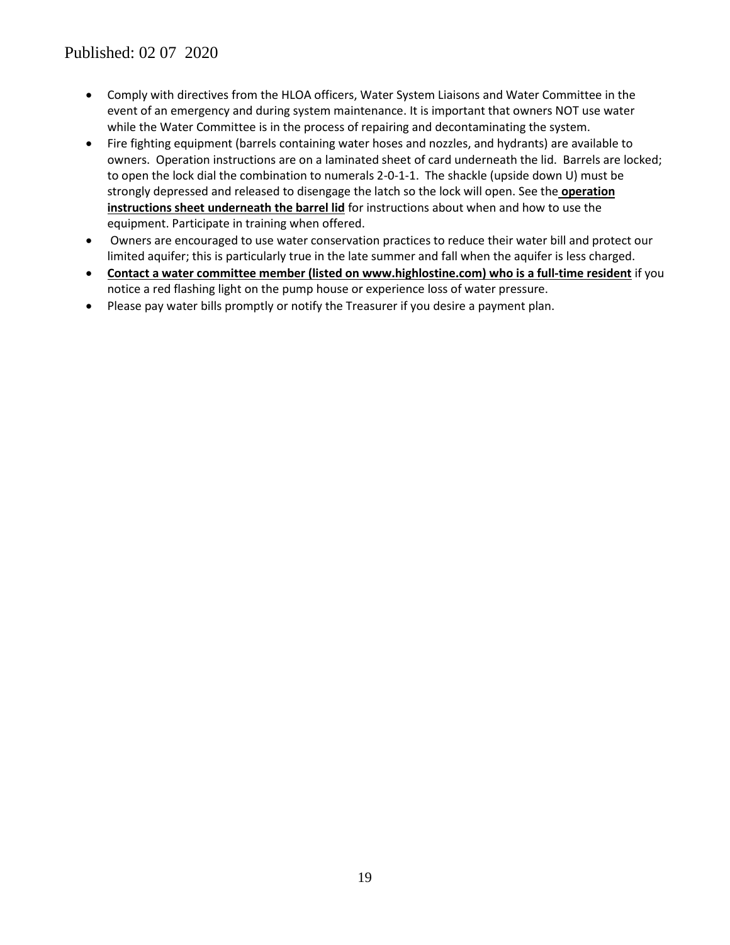- Comply with directives from the HLOA officers, Water System Liaisons and Water Committee in the event of an emergency and during system maintenance. It is important that owners NOT use water while the Water Committee is in the process of repairing and decontaminating the system.
- Fire fighting equipment (barrels containing water hoses and nozzles, and hydrants) are available to owners. Operation instructions are on a laminated sheet of card underneath the lid. Barrels are locked; to open the lock dial the combination to numerals 2-0-1-1. The shackle (upside down U) must be strongly depressed and released to disengage the latch so the lock will open. See the **operation instructions sheet underneath the barrel lid** for instructions about when and how to use the equipment. Participate in training when offered.
- Owners are encouraged to use water conservation practices to reduce their water bill and protect our limited aquifer; this is particularly true in the late summer and fall when the aquifer is less charged.
- **Contact a water committee member (listed on www.highlostine.com) who is a full-time resident** if you notice a red flashing light on the pump house or experience loss of water pressure.
- Please pay water bills promptly or notify the Treasurer if you desire a payment plan.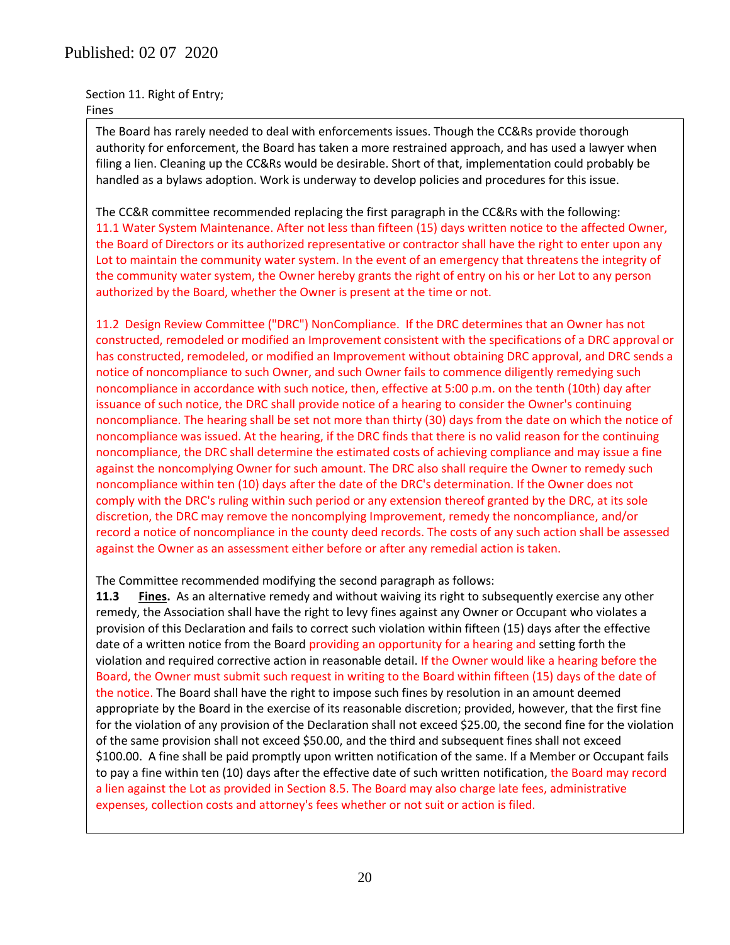## Published: 02 07 2020

Section 11. Right of Entry; Fines

The Board has rarely needed to deal with enforcements issues. Though the CC&Rs provide thorough authority for enforcement, the Board has taken a more restrained approach, and has used a lawyer when filing a lien. Cleaning up the CC&Rs would be desirable. Short of that, implementation could probably be handled as a bylaws adoption. Work is underway to develop policies and procedures for this issue.

The CC&R committee recommended replacing the first paragraph in the CC&Rs with the following: 11.1 Water System Maintenance. After not less than fifteen (15) days written notice to the affected Owner, the Board of Directors or its authorized representative or contractor shall have the right to enter upon any Lot to maintain the community water system. In the event of an emergency that threatens the integrity of the community water system, the Owner hereby grants the right of entry on his or her Lot to any person authorized by the Board, whether the Owner is present at the time or not.

11.2 Design Review Committee ("DRC") NonCompliance. If the DRC determines that an Owner has not constructed, remodeled or modified an Improvement consistent with the specifications of a DRC approval or has constructed, remodeled, or modified an Improvement without obtaining DRC approval, and DRC sends a notice of noncompliance to such Owner, and such Owner fails to commence diligently remedying such noncompliance in accordance with such notice, then, effective at 5:00 p.m. on the tenth (10th) day after issuance of such notice, the DRC shall provide notice of a hearing to consider the Owner's continuing noncompliance. The hearing shall be set not more than thirty (30) days from the date on which the notice of noncompliance was issued. At the hearing, if the DRC finds that there is no valid reason for the continuing noncompliance, the DRC shall determine the estimated costs of achieving compliance and may issue a fine against the noncomplying Owner for such amount. The DRC also shall require the Owner to remedy such noncompliance within ten (10) days after the date of the DRC's determination. If the Owner does not comply with the DRC's ruling within such period or any extension thereof granted by the DRC, at its sole discretion, the DRC may remove the noncomplying Improvement, remedy the noncompliance, and/or record a notice of noncompliance in the county deed records. The costs of any such action shall be assessed against the Owner as an assessment either before or after any remedial action is taken.

The Committee recommended modifying the second paragraph as follows:

**11.3 Fines.** As an alternative remedy and without waiving its right to subsequently exercise any other remedy, the Association shall have the right to levy fines against any Owner or Occupant who violates a provision of this Declaration and fails to correct such violation within fifteen (15) days after the effective date of a written notice from the Board providing an opportunity for a hearing and setting forth the violation and required corrective action in reasonable detail. If the Owner would like a hearing before the Board, the Owner must submit such request in writing to the Board within fifteen (15) days of the date of the notice. The Board shall have the right to impose such fines by resolution in an amount deemed appropriate by the Board in the exercise of its reasonable discretion; provided, however, that the first fine for the violation of any provision of the Declaration shall not exceed \$25.00, the second fine for the violation of the same provision shall not exceed \$50.00, and the third and subsequent fines shall not exceed \$100.00. A fine shall be paid promptly upon written notification of the same. If a Member or Occupant fails to pay a fine within ten (10) days after the effective date of such written notification, the Board may record a lien against the Lot as provided in Section 8.5. The Board may also charge late fees, administrative expenses, collection costs and attorney's fees whether or not suit or action is filed.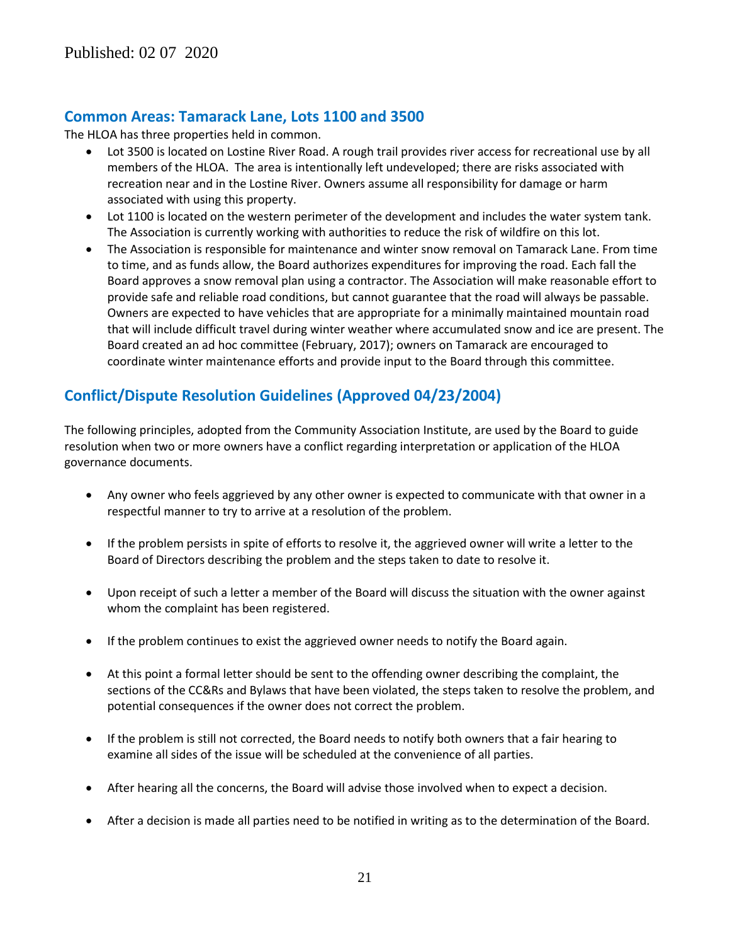## **Common Areas: Tamarack Lane, Lots 1100 and 3500**

The HLOA has three properties held in common.

- Lot 3500 is located on Lostine River Road. A rough trail provides river access for recreational use by all members of the HLOA. The area is intentionally left undeveloped; there are risks associated with recreation near and in the Lostine River. Owners assume all responsibility for damage or harm associated with using this property.
- Lot 1100 is located on the western perimeter of the development and includes the water system tank. The Association is currently working with authorities to reduce the risk of wildfire on this lot.
- The Association is responsible for maintenance and winter snow removal on Tamarack Lane. From time to time, and as funds allow, the Board authorizes expenditures for improving the road. Each fall the Board approves a snow removal plan using a contractor. The Association will make reasonable effort to provide safe and reliable road conditions, but cannot guarantee that the road will always be passable. Owners are expected to have vehicles that are appropriate for a minimally maintained mountain road that will include difficult travel during winter weather where accumulated snow and ice are present. The Board created an ad hoc committee (February, 2017); owners on Tamarack are encouraged to coordinate winter maintenance efforts and provide input to the Board through this committee.

## **Conflict/Dispute Resolution Guidelines (Approved 04/23/2004)**

The following principles, adopted from the Community Association Institute, are used by the Board to guide resolution when two or more owners have a conflict regarding interpretation or application of the HLOA governance documents.

- Any owner who feels aggrieved by any other owner is expected to communicate with that owner in a respectful manner to try to arrive at a resolution of the problem.
- If the problem persists in spite of efforts to resolve it, the aggrieved owner will write a letter to the Board of Directors describing the problem and the steps taken to date to resolve it.
- Upon receipt of such a letter a member of the Board will discuss the situation with the owner against whom the complaint has been registered.
- If the problem continues to exist the aggrieved owner needs to notify the Board again.
- At this point a formal letter should be sent to the offending owner describing the complaint, the sections of the CC&Rs and Bylaws that have been violated, the steps taken to resolve the problem, and potential consequences if the owner does not correct the problem.
- If the problem is still not corrected, the Board needs to notify both owners that a fair hearing to examine all sides of the issue will be scheduled at the convenience of all parties.
- After hearing all the concerns, the Board will advise those involved when to expect a decision.
- After a decision is made all parties need to be notified in writing as to the determination of the Board.